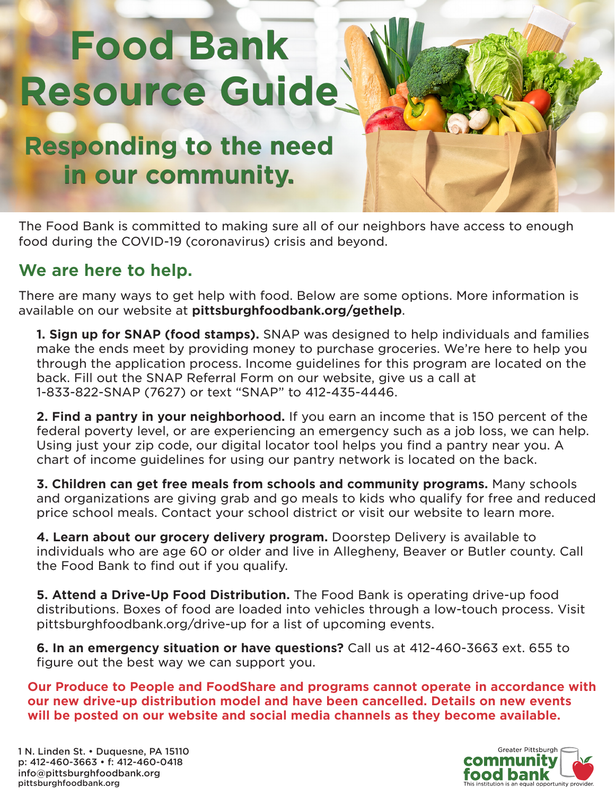# **Food Bank Resource Guide**

## **Responding to the need in our community.**

The Food Bank is committed to making sure all of our neighbors have access to enough food during the COVID-19 (coronavirus) crisis and beyond.

### **We are here to help.**

There are many ways to get help with food. Below are some options. More information is available on our website at **pittsburghfoodbank.org/gethelp**.

**1. Sign up for SNAP (food stamps).** SNAP was designed to help individuals and families make the ends meet by providing money to purchase groceries. We're here to help you through the application process. Income guidelines for this program are located on the back. Fill out the SNAP Referral Form on our website, give us a call at 1-833-822-SNAP (7627) or text "SNAP" to 412-435-4446.

**2. Find a pantry in your neighborhood.** If you earn an income that is 150 percent of the federal poverty level, or are experiencing an emergency such as a job loss, we can help. Using just your zip code, our digital locator tool helps you find a pantry near you. A chart of income guidelines for using our pantry network is located on the back.

**3. Children can get free meals from schools and community programs.** Many schools and organizations are giving grab and go meals to kids who qualify for free and reduced price school meals. Contact your school district or visit our website to learn more.

**4. Learn about our grocery delivery program.** Doorstep Delivery is available to individuals who are age 60 or older and live in Allegheny, Beaver or Butler county. Call the Food Bank to find out if you qualify.

**5. Attend a Drive-Up Food Distribution.** The Food Bank is operating drive-up food distributions. Boxes of food are loaded into vehicles through a low-touch process. Visit pittsburghfoodbank.org/drive-up for a list of upcoming events.

**6. In an emergency situation or have questions?** Call us at 412-460-3663 ext. 655 to figure out the best way we can support you.

**Our Produce to People and FoodShare and programs cannot operate in accordance with our new drive-up distribution model and have been cancelled. Details on new events will be posted on our website and social media channels as they become available.**